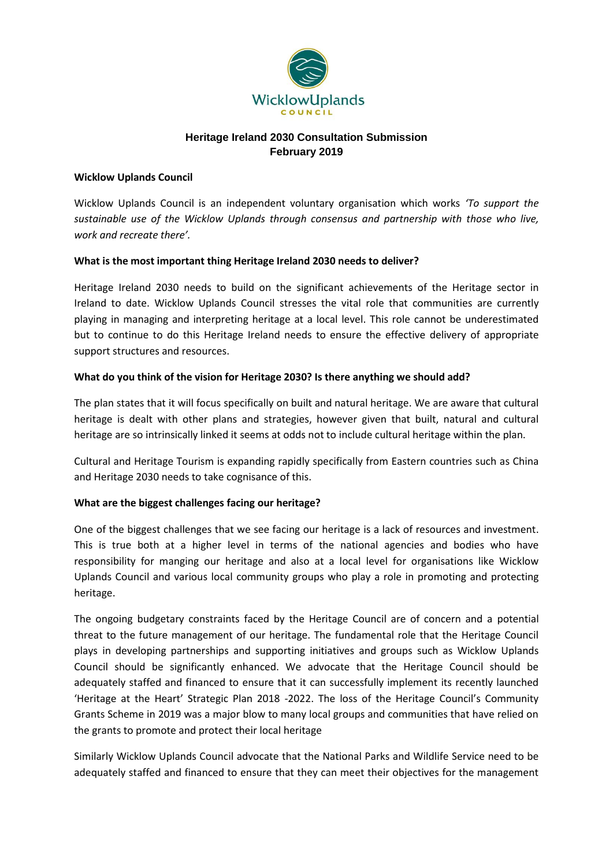

## **Heritage Ireland 2030 Consultation Submission February 2019**

#### **Wicklow Uplands Council**

Wicklow Uplands Council is an independent voluntary organisation which works *'To support the sustainable use of the Wicklow Uplands through consensus and partnership with those who live, work and recreate there'.*

#### **What is the most important thing Heritage Ireland 2030 needs to deliver?**

Heritage Ireland 2030 needs to build on the significant achievements of the Heritage sector in Ireland to date. Wicklow Uplands Council stresses the vital role that communities are currently playing in managing and interpreting heritage at a local level. This role cannot be underestimated but to continue to do this Heritage Ireland needs to ensure the effective delivery of appropriate support structures and resources.

## **What do you think of the vision for Heritage 2030? Is there anything we should add?**

The plan states that it will focus specifically on built and natural heritage. We are aware that cultural heritage is dealt with other plans and strategies, however given that built, natural and cultural heritage are so intrinsically linked it seems at odds not to include cultural heritage within the plan.

Cultural and Heritage Tourism is expanding rapidly specifically from Eastern countries such as China and Heritage 2030 needs to take cognisance of this.

## **What are the biggest challenges facing our heritage?**

One of the biggest challenges that we see facing our heritage is a lack of resources and investment. This is true both at a higher level in terms of the national agencies and bodies who have responsibility for manging our heritage and also at a local level for organisations like Wicklow Uplands Council and various local community groups who play a role in promoting and protecting heritage.

The ongoing budgetary constraints faced by the Heritage Council are of concern and a potential threat to the future management of our heritage. The fundamental role that the Heritage Council plays in developing partnerships and supporting initiatives and groups such as Wicklow Uplands Council should be significantly enhanced. We advocate that the Heritage Council should be adequately staffed and financed to ensure that it can successfully implement its recently launched 'Heritage at the Heart' Strategic Plan 2018 -2022. The loss of the Heritage Council's Community Grants Scheme in 2019 was a major blow to many local groups and communities that have relied on the grants to promote and protect their local heritage

Similarly Wicklow Uplands Council advocate that the National Parks and Wildlife Service need to be adequately staffed and financed to ensure that they can meet their objectives for the management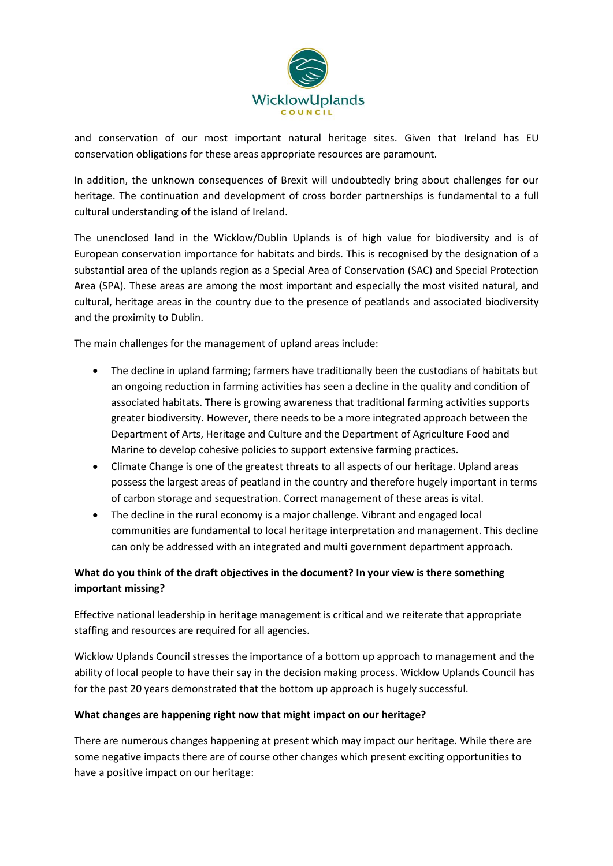

and conservation of our most important natural heritage sites. Given that Ireland has EU conservation obligations for these areas appropriate resources are paramount.

In addition, the unknown consequences of Brexit will undoubtedly bring about challenges for our heritage. The continuation and development of cross border partnerships is fundamental to a full cultural understanding of the island of Ireland.

The unenclosed land in the Wicklow/Dublin Uplands is of high value for biodiversity and is of European conservation importance for habitats and birds. This is recognised by the designation of a substantial area of the uplands region as a Special Area of Conservation (SAC) and Special Protection Area (SPA). These areas are among the most important and especially the most visited natural, and cultural, heritage areas in the country due to the presence of peatlands and associated biodiversity and the proximity to Dublin.

The main challenges for the management of upland areas include:

- The decline in upland farming; farmers have traditionally been the custodians of habitats but an ongoing reduction in farming activities has seen a decline in the quality and condition of associated habitats. There is growing awareness that traditional farming activities supports greater biodiversity. However, there needs to be a more integrated approach between the Department of Arts, Heritage and Culture and the Department of Agriculture Food and Marine to develop cohesive policies to support extensive farming practices.
- Climate Change is one of the greatest threats to all aspects of our heritage. Upland areas possess the largest areas of peatland in the country and therefore hugely important in terms of carbon storage and sequestration. Correct management of these areas is vital.
- The decline in the rural economy is a major challenge. Vibrant and engaged local communities are fundamental to local heritage interpretation and management. This decline can only be addressed with an integrated and multi government department approach.

# **What do you think of the draft objectives in the document? In your view is there something important missing?**

Effective national leadership in heritage management is critical and we reiterate that appropriate staffing and resources are required for all agencies.

Wicklow Uplands Council stresses the importance of a bottom up approach to management and the ability of local people to have their say in the decision making process. Wicklow Uplands Council has for the past 20 years demonstrated that the bottom up approach is hugely successful.

## **What changes are happening right now that might impact on our heritage?**

There are numerous changes happening at present which may impact our heritage. While there are some negative impacts there are of course other changes which present exciting opportunities to have a positive impact on our heritage: